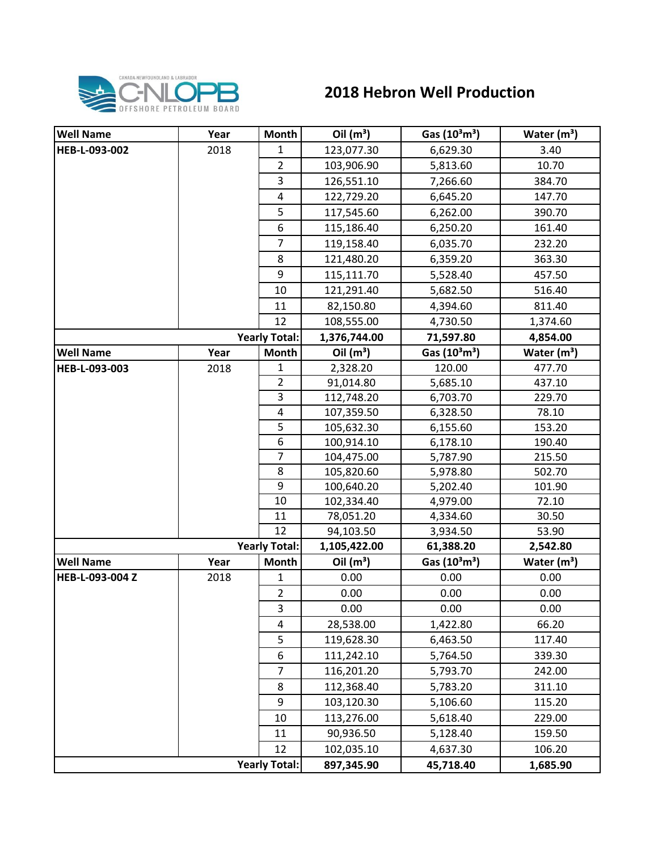

## **2018 Hebron Well Production**

| <b>Well Name</b>     | Year | Month                   | Oil $(m^3)$  | Gas $(10^3 \text{m}^3)$ | Water $(m^3)$ |
|----------------------|------|-------------------------|--------------|-------------------------|---------------|
| HEB-L-093-002        | 2018 | $\mathbf{1}$            | 123,077.30   | 6,629.30                | 3.40          |
|                      |      | $\overline{2}$          | 103,906.90   | 5,813.60                | 10.70         |
|                      |      | 3                       | 126,551.10   | 7,266.60                | 384.70        |
|                      |      | 4                       | 122,729.20   | 6,645.20                | 147.70        |
|                      |      | 5                       | 117,545.60   | 6,262.00                | 390.70        |
|                      |      | 6                       | 115,186.40   | 6,250.20                | 161.40        |
|                      |      | $\overline{7}$          | 119,158.40   | 6,035.70                | 232.20        |
|                      |      | 8                       | 121,480.20   | 6,359.20                | 363.30        |
|                      |      | 9                       | 115,111.70   | 5,528.40                | 457.50        |
|                      |      | 10                      | 121,291.40   | 5,682.50                | 516.40        |
|                      |      | 11                      | 82,150.80    | 4,394.60                | 811.40        |
|                      |      | 12                      | 108,555.00   | 4,730.50                | 1,374.60      |
| <b>Yearly Total:</b> |      |                         | 1,376,744.00 | 71,597.80               | 4,854.00      |
| <b>Well Name</b>     | Year | <b>Month</b>            | Oil $(m^3)$  | Gas $(10^3 \text{m}^3)$ | Water $(m^3)$ |
| HEB-L-093-003        | 2018 | 1                       | 2,328.20     | 120.00                  | 477.70        |
|                      |      | $\overline{2}$          | 91,014.80    | 5,685.10                | 437.10        |
|                      |      | 3                       | 112,748.20   | 6,703.70                | 229.70        |
|                      |      | $\overline{\mathbf{4}}$ | 107,359.50   | 6,328.50                | 78.10         |
|                      |      | 5                       | 105,632.30   | 6,155.60                | 153.20        |
|                      |      | 6                       | 100,914.10   | 6,178.10                | 190.40        |
|                      |      | $\overline{7}$          | 104,475.00   | 5,787.90                | 215.50        |
|                      |      | 8                       | 105,820.60   | 5,978.80                | 502.70        |
|                      |      | 9                       | 100,640.20   | 5,202.40                | 101.90        |
|                      |      | 10                      | 102,334.40   | 4,979.00                | 72.10         |
|                      |      | 11                      | 78,051.20    | 4,334.60                | 30.50         |
|                      |      | 12                      | 94,103.50    | 3,934.50                | 53.90         |
| <b>Yearly Total:</b> |      |                         | 1,105,422.00 | 61,388.20               | 2,542.80      |
| <b>Well Name</b>     | Year | Month                   | Oil $(m^3)$  | Gas $(10^3 \text{m}^3)$ | Water $(m^3)$ |
| HEB-L-093-004 Z      | 2018 | 1                       | 0.00         | 0.00                    | 0.00          |
|                      |      | $\overline{2}$          | 0.00         | 0.00                    | 0.00          |
|                      |      | 3                       | 0.00         | 0.00                    | 0.00          |
|                      |      | $\overline{4}$          | 28,538.00    | 1,422.80                | 66.20         |
|                      |      | 5                       | 119,628.30   | 6,463.50                | 117.40        |
|                      |      | 6                       | 111,242.10   | 5,764.50                | 339.30        |
|                      |      | $\overline{7}$          | 116,201.20   | 5,793.70                | 242.00        |
|                      |      | 8                       | 112,368.40   | 5,783.20                | 311.10        |
|                      |      | 9                       | 103,120.30   | 5,106.60                | 115.20        |
|                      |      | 10                      | 113,276.00   | 5,618.40                | 229.00        |
|                      |      | 11                      | 90,936.50    | 5,128.40                | 159.50        |
|                      |      | 12                      | 102,035.10   | 4,637.30                | 106.20        |
|                      |      | <b>Yearly Total:</b>    | 897,345.90   | 45,718.40               | 1,685.90      |